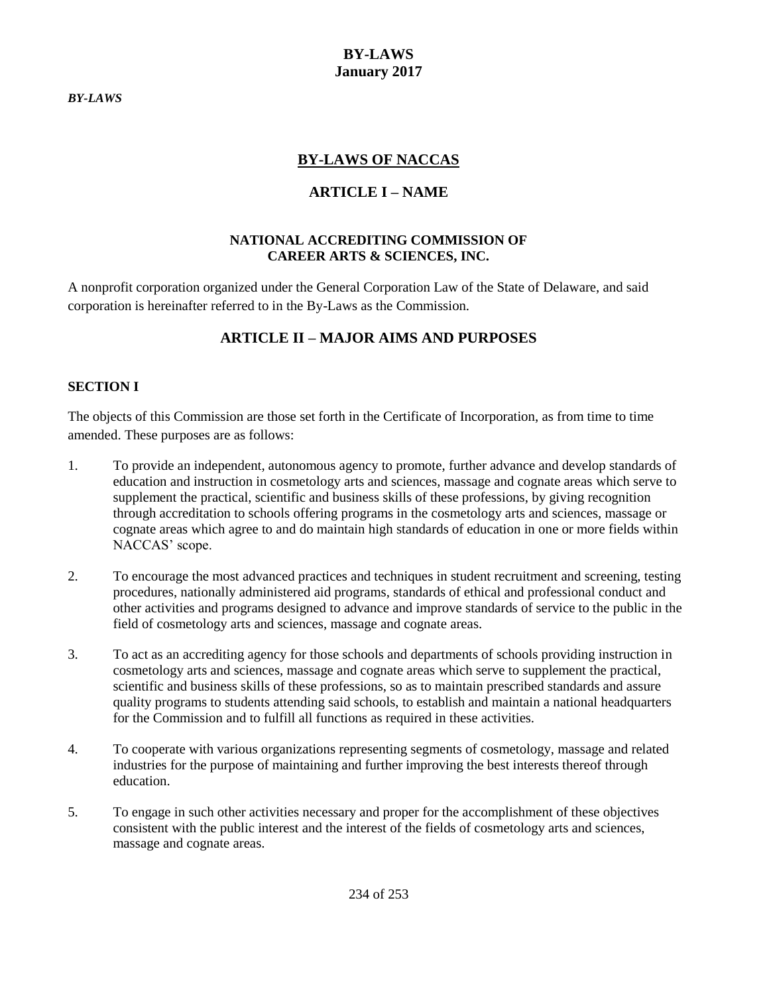<span id="page-0-0"></span>*BY-LAWS*

### **BY-LAWS January 2017**

## **BY-LAWS OF NACCAS**

## **ARTICLE I – NAME**

#### **NATIONAL ACCREDITING COMMISSION OF CAREER ARTS & SCIENCES, INC.**

A nonprofit corporation organized under the General Corporation Law of the State of Delaware, and said corporation is hereinafter referred to in the By-Laws as the Commission.

# **ARTICLE II – MAJOR AIMS AND PURPOSES**

### **SECTION I**

The objects of this Commission are those set forth in the Certificate of Incorporation, as from time to time amended. These purposes are as follows:

- 1. To provide an independent, autonomous agency to promote, further advance and develop standards of education and instruction in cosmetology arts and sciences, massage and cognate areas which serve to supplement the practical, scientific and business skills of these professions, by giving recognition through accreditation to schools offering programs in the cosmetology arts and sciences, massage or cognate areas which agree to and do maintain high standards of education in one or more fields within NACCAS' scope.
- 2. To encourage the most advanced practices and techniques in student recruitment and screening, testing procedures, nationally administered aid programs, standards of ethical and professional conduct and other activities and programs designed to advance and improve standards of service to the public in the field of cosmetology arts and sciences, massage and cognate areas.
- 3. To act as an accrediting agency for those schools and departments of schools providing instruction in cosmetology arts and sciences, massage and cognate areas which serve to supplement the practical, scientific and business skills of these professions, so as to maintain prescribed standards and assure quality programs to students attending said schools, to establish and maintain a national headquarters for the Commission and to fulfill all functions as required in these activities.
- 4. To cooperate with various organizations representing segments of cosmetology, massage and related industries for the purpose of maintaining and further improving the best interests thereof through education.
- 5. To engage in such other activities necessary and proper for the accomplishment of these objectives consistent with the public interest and the interest of the fields of cosmetology arts and sciences, massage and cognate areas.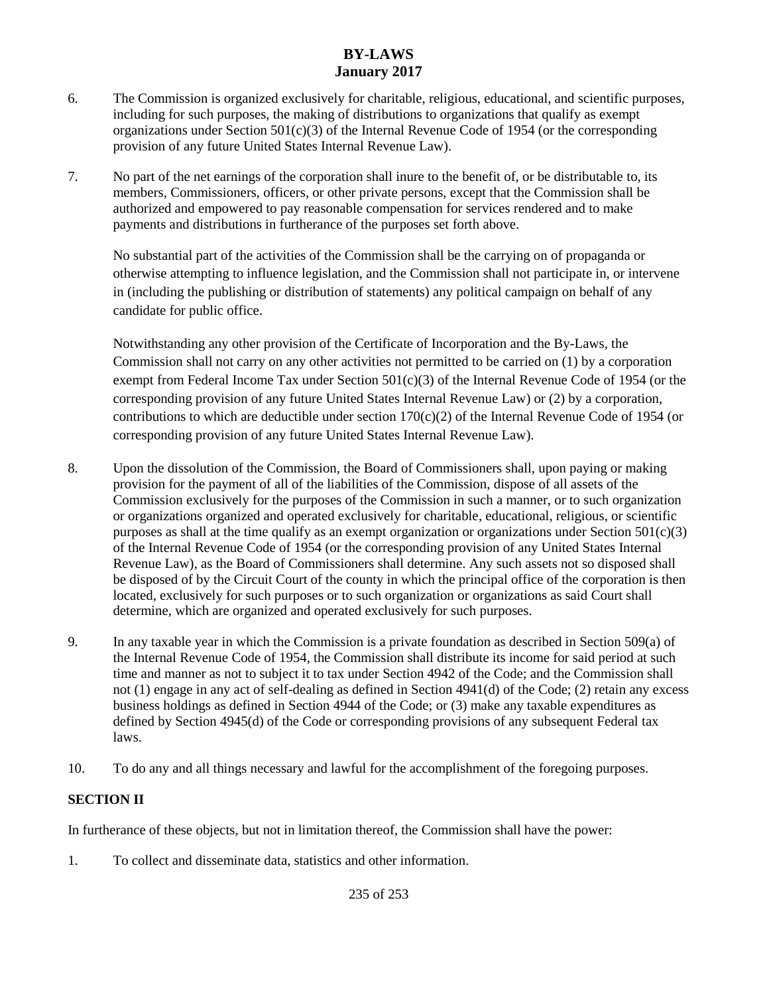- 6. The Commission is organized exclusively for charitable, religious, educational, and scientific purposes, including for such purposes, the making of distributions to organizations that qualify as exempt organizations under Section  $501(c)(3)$  of the Internal Revenue Code of 1954 (or the corresponding provision of any future United States Internal Revenue Law).
- 7. No part of the net earnings of the corporation shall inure to the benefit of, or be distributable to, its members, Commissioners, officers, or other private persons, except that the Commission shall be authorized and empowered to pay reasonable compensation for services rendered and to make payments and distributions in furtherance of the purposes set forth above.

No substantial part of the activities of the Commission shall be the carrying on of propaganda or otherwise attempting to influence legislation, and the Commission shall not participate in, or intervene in (including the publishing or distribution of statements) any political campaign on behalf of any candidate for public office.

Notwithstanding any other provision of the Certificate of Incorporation and the By-Laws, the Commission shall not carry on any other activities not permitted to be carried on (1) by a corporation exempt from Federal Income Tax under Section  $501(c)(3)$  of the Internal Revenue Code of 1954 (or the corresponding provision of any future United States Internal Revenue Law) or (2) by a corporation, contributions to which are deductible under section  $170(c)(2)$  of the Internal Revenue Code of 1954 (or corresponding provision of any future United States Internal Revenue Law).

- 8. Upon the dissolution of the Commission, the Board of Commissioners shall, upon paying or making provision for the payment of all of the liabilities of the Commission, dispose of all assets of the Commission exclusively for the purposes of the Commission in such a manner, or to such organization or organizations organized and operated exclusively for charitable, educational, religious, or scientific purposes as shall at the time qualify as an exempt organization or organizations under Section  $501(c)(3)$ of the Internal Revenue Code of 1954 (or the corresponding provision of any United States Internal Revenue Law), as the Board of Commissioners shall determine. Any such assets not so disposed shall be disposed of by the Circuit Court of the county in which the principal office of the corporation is then located, exclusively for such purposes or to such organization or organizations as said Court shall determine, which are organized and operated exclusively for such purposes.
- 9. In any taxable year in which the Commission is a private foundation as described in Section 509(a) of the Internal Revenue Code of 1954, the Commission shall distribute its income for said period at such time and manner as not to subject it to tax under Section 4942 of the Code; and the Commission shall not (1) engage in any act of self-dealing as defined in Section 4941(d) of the Code; (2) retain any excess business holdings as defined in Section 4944 of the Code; or (3) make any taxable expenditures as defined by Section 4945(d) of the Code or corresponding provisions of any subsequent Federal tax laws.
- 10. To do any and all things necessary and lawful for the accomplishment of the foregoing purposes.

### **SECTION II**

In furtherance of these objects, but not in limitation thereof, the Commission shall have the power:

1. To collect and disseminate data, statistics and other information.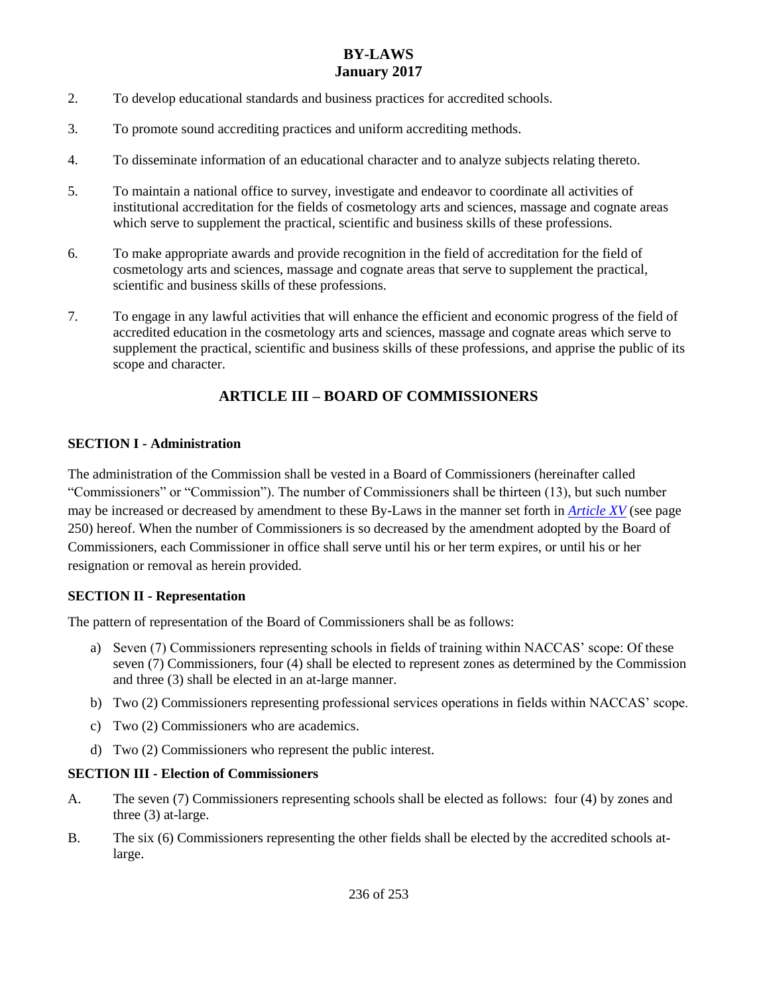- 2. To develop educational standards and business practices for accredited schools.
- 3. To promote sound accrediting practices and uniform accrediting methods.
- 4. To disseminate information of an educational character and to analyze subjects relating thereto.
- 5. To maintain a national office to survey, investigate and endeavor to coordinate all activities of institutional accreditation for the fields of cosmetology arts and sciences, massage and cognate areas which serve to supplement the practical, scientific and business skills of these professions.
- 6. To make appropriate awards and provide recognition in the field of accreditation for the field of cosmetology arts and sciences, massage and cognate areas that serve to supplement the practical, scientific and business skills of these professions.
- 7. To engage in any lawful activities that will enhance the efficient and economic progress of the field of accredited education in the cosmetology arts and sciences, massage and cognate areas which serve to supplement the practical, scientific and business skills of these professions, and apprise the public of its scope and character.

# **ARTICLE III – BOARD OF COMMISSIONERS**

### **SECTION I - Administration**

The administration of the Commission shall be vested in a Board of Commissioners (hereinafter called "Commissioners" or "Commission"). The number of Commissioners shall be thirteen (13), but such number may be increased or decreased by amendment to these By-Laws in the manner set forth in *[Article XV](#page-16-0)* (see page 250) hereof. When the number of Commissioners is so decreased by the amendment adopted by the Board of Commissioners, each Commissioner in office shall serve until his or her term expires, or until his or her resignation or removal as herein provided.

### **SECTION II - Representation**

The pattern of representation of the Board of Commissioners shall be as follows:

- a) Seven (7) Commissioners representing schools in fields of training within NACCAS' scope: Of these seven (7) Commissioners, four (4) shall be elected to represent zones as determined by the Commission and three (3) shall be elected in an at-large manner.
- b) Two (2) Commissioners representing professional services operations in fields within NACCAS' scope.
- c) Two (2) Commissioners who are academics.
- d) Two (2) Commissioners who represent the public interest.

### **SECTION III - Election of Commissioners**

- <span id="page-2-0"></span>A. The seven (7) Commissioners representing schools shall be elected as follows: four (4) by zones and three (3) at-large.
- B. The six (6) Commissioners representing the other fields shall be elected by the accredited schools atlarge.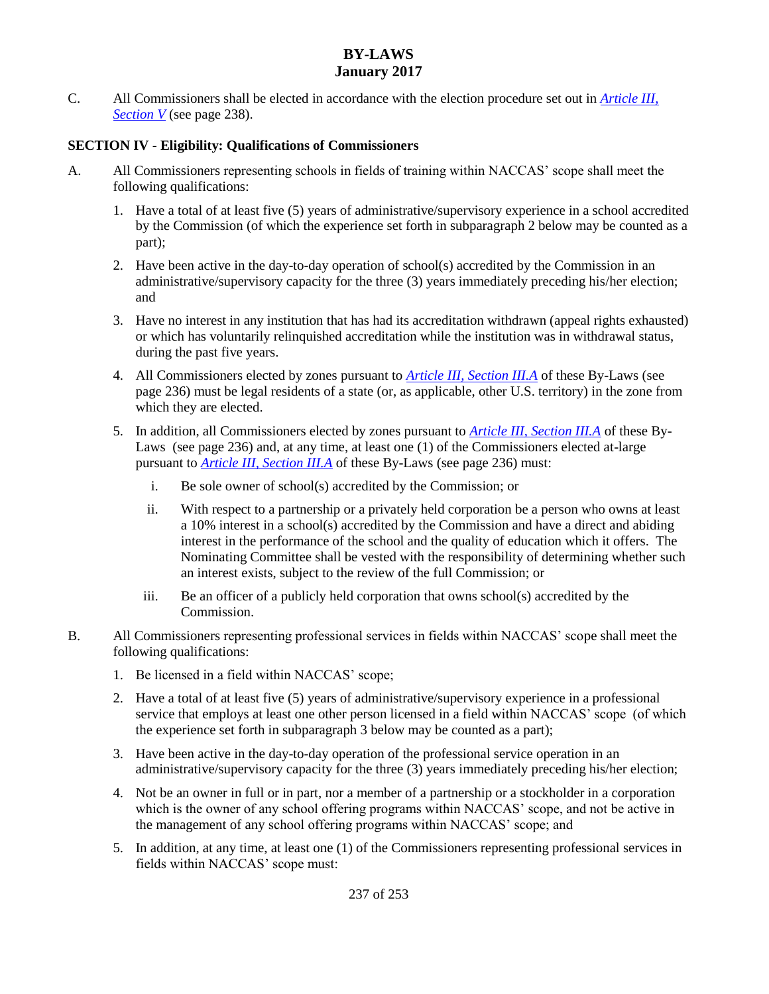C. All Commissioners shall be elected in accordance with the election procedure set out in *[Article III,](#page-4-0)  [Section V](#page-4-0)* (see page 238).

### <span id="page-3-0"></span>**SECTION IV - Eligibility: Qualifications of Commissioners**

- A. All Commissioners representing schools in fields of training within NACCAS' scope shall meet the following qualifications:
	- 1. Have a total of at least five (5) years of administrative/supervisory experience in a school accredited by the Commission (of which the experience set forth in subparagraph 2 below may be counted as a part);
	- 2. Have been active in the day-to-day operation of school(s) accredited by the Commission in an administrative/supervisory capacity for the three (3) years immediately preceding his/her election; and
	- 3. Have no interest in any institution that has had its accreditation withdrawn (appeal rights exhausted) or which has voluntarily relinquished accreditation while the institution was in withdrawal status, during the past five years.
	- 4. All Commissioners elected by zones pursuant to *[Article III, Section III.A](#page-2-0)* of these By-Laws (see page 236) must be legal residents of a state (or, as applicable, other U.S. territory) in the zone from which they are elected.
	- 5. In addition, all Commissioners elected by zones pursuant to *[Article III, Section III.A](#page-2-0)* of these By-Laws (see page 236) and, at any time, at least one (1) of the Commissioners elected at-large pursuant to *[Article III, Section III.A](#page-2-0)* of these By-Laws (see page 236) must:
		- i. Be sole owner of school(s) accredited by the Commission; or
		- ii. With respect to a partnership or a privately held corporation be a person who owns at least a 10% interest in a school(s) accredited by the Commission and have a direct and abiding interest in the performance of the school and the quality of education which it offers. The Nominating Committee shall be vested with the responsibility of determining whether such an interest exists, subject to the review of the full Commission; or
		- iii. Be an officer of a publicly held corporation that owns school(s) accredited by the Commission.
- B. All Commissioners representing professional services in fields within NACCAS' scope shall meet the following qualifications:
	- 1. Be licensed in a field within NACCAS' scope;
	- 2. Have a total of at least five (5) years of administrative/supervisory experience in a professional service that employs at least one other person licensed in a field within NACCAS' scope (of which the experience set forth in subparagraph 3 below may be counted as a part);
	- 3. Have been active in the day-to-day operation of the professional service operation in an administrative/supervisory capacity for the three (3) years immediately preceding his/her election;
	- 4. Not be an owner in full or in part, nor a member of a partnership or a stockholder in a corporation which is the owner of any school offering programs within NACCAS' scope, and not be active in the management of any school offering programs within NACCAS' scope; and
	- 5. In addition, at any time, at least one (1) of the Commissioners representing professional services in fields within NACCAS' scope must: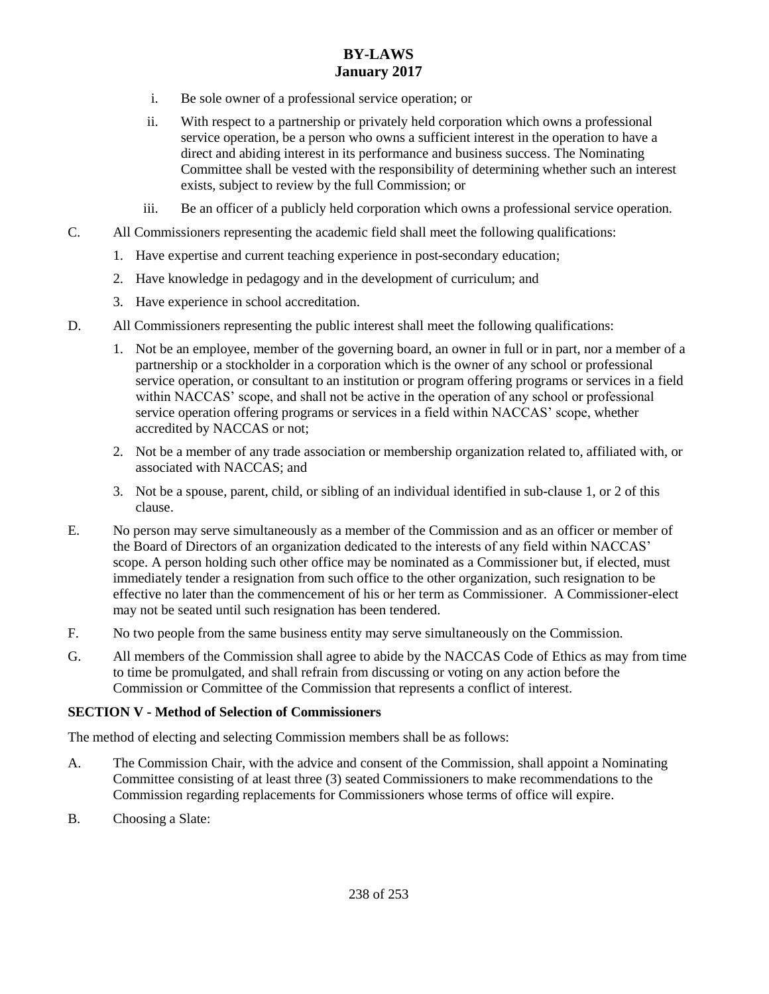- i. Be sole owner of a professional service operation; or
- ii. With respect to a partnership or privately held corporation which owns a professional service operation, be a person who owns a sufficient interest in the operation to have a direct and abiding interest in its performance and business success. The Nominating Committee shall be vested with the responsibility of determining whether such an interest exists, subject to review by the full Commission; or
- iii. Be an officer of a publicly held corporation which owns a professional service operation.
- C. All Commissioners representing the academic field shall meet the following qualifications:
	- 1. Have expertise and current teaching experience in post-secondary education;
	- 2. Have knowledge in pedagogy and in the development of curriculum; and
	- 3. Have experience in school accreditation.
- D. All Commissioners representing the public interest shall meet the following qualifications:
	- 1. Not be an employee, member of the governing board, an owner in full or in part, nor a member of a partnership or a stockholder in a corporation which is the owner of any school or professional service operation, or consultant to an institution or program offering programs or services in a field within NACCAS' scope, and shall not be active in the operation of any school or professional service operation offering programs or services in a field within NACCAS' scope, whether accredited by NACCAS or not;
	- 2. Not be a member of any trade association or membership organization related to, affiliated with, or associated with NACCAS; and
	- 3. Not be a spouse, parent, child, or sibling of an individual identified in sub-clause 1, or 2 of this clause.
- E. No person may serve simultaneously as a member of the Commission and as an officer or member of the Board of Directors of an organization dedicated to the interests of any field within NACCAS' scope. A person holding such other office may be nominated as a Commissioner but, if elected, must immediately tender a resignation from such office to the other organization, such resignation to be effective no later than the commencement of his or her term as Commissioner. A Commissioner-elect may not be seated until such resignation has been tendered.
- F. No two people from the same business entity may serve simultaneously on the Commission.
- G. All members of the Commission shall agree to abide by the NACCAS Code of Ethics as may from time to time be promulgated, and shall refrain from discussing or voting on any action before the Commission or Committee of the Commission that represents a conflict of interest.

### <span id="page-4-0"></span>**SECTION V - Method of Selection of Commissioners**

The method of electing and selecting Commission members shall be as follows:

- A. The Commission Chair, with the advice and consent of the Commission, shall appoint a Nominating Committee consisting of at least three (3) seated Commissioners to make recommendations to the Commission regarding replacements for Commissioners whose terms of office will expire.
- B. Choosing a Slate: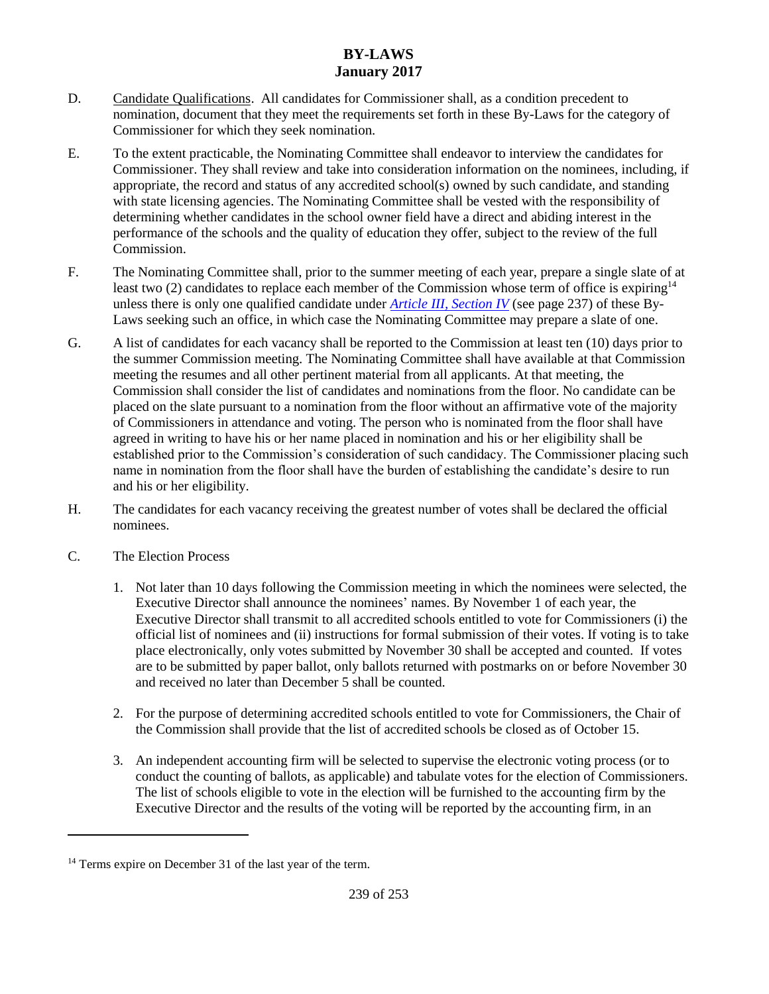- D. Candidate Qualifications. All candidates for Commissioner shall, as a condition precedent to nomination, document that they meet the requirements set forth in these By-Laws for the category of Commissioner for which they seek nomination.
- E. To the extent practicable, the Nominating Committee shall endeavor to interview the candidates for Commissioner. They shall review and take into consideration information on the nominees, including, if appropriate, the record and status of any accredited school(s) owned by such candidate, and standing with state licensing agencies. The Nominating Committee shall be vested with the responsibility of determining whether candidates in the school owner field have a direct and abiding interest in the performance of the schools and the quality of education they offer, subject to the review of the full Commission.
- F. The Nominating Committee shall, prior to the summer meeting of each year, prepare a single slate of at least two (2) candidates to replace each member of the Commission whose term of office is expiring<sup>14</sup> unless there is only one qualified candidate under *[Article III, Section IV](#page-3-0)* (see page 237) of these By-Laws seeking such an office, in which case the Nominating Committee may prepare a slate of one.
- G. A list of candidates for each vacancy shall be reported to the Commission at least ten (10) days prior to the summer Commission meeting. The Nominating Committee shall have available at that Commission meeting the resumes and all other pertinent material from all applicants. At that meeting, the Commission shall consider the list of candidates and nominations from the floor. No candidate can be placed on the slate pursuant to a nomination from the floor without an affirmative vote of the majority of Commissioners in attendance and voting. The person who is nominated from the floor shall have agreed in writing to have his or her name placed in nomination and his or her eligibility shall be established prior to the Commission's consideration of such candidacy. The Commissioner placing such name in nomination from the floor shall have the burden of establishing the candidate's desire to run and his or her eligibility.
- H. The candidates for each vacancy receiving the greatest number of votes shall be declared the official nominees.
- C. The Election Process

 $\overline{\phantom{a}}$ 

- 1. Not later than 10 days following the Commission meeting in which the nominees were selected, the Executive Director shall announce the nominees' names. By November 1 of each year, the Executive Director shall transmit to all accredited schools entitled to vote for Commissioners (i) the official list of nominees and (ii) instructions for formal submission of their votes. If voting is to take place electronically, only votes submitted by November 30 shall be accepted and counted. If votes are to be submitted by paper ballot, only ballots returned with postmarks on or before November 30 and received no later than December 5 shall be counted.
- 2. For the purpose of determining accredited schools entitled to vote for Commissioners, the Chair of the Commission shall provide that the list of accredited schools be closed as of October 15.
- 3. An independent accounting firm will be selected to supervise the electronic voting process (or to conduct the counting of ballots, as applicable) and tabulate votes for the election of Commissioners. The list of schools eligible to vote in the election will be furnished to the accounting firm by the Executive Director and the results of the voting will be reported by the accounting firm, in an

<sup>&</sup>lt;sup>14</sup> Terms expire on December 31 of the last year of the term.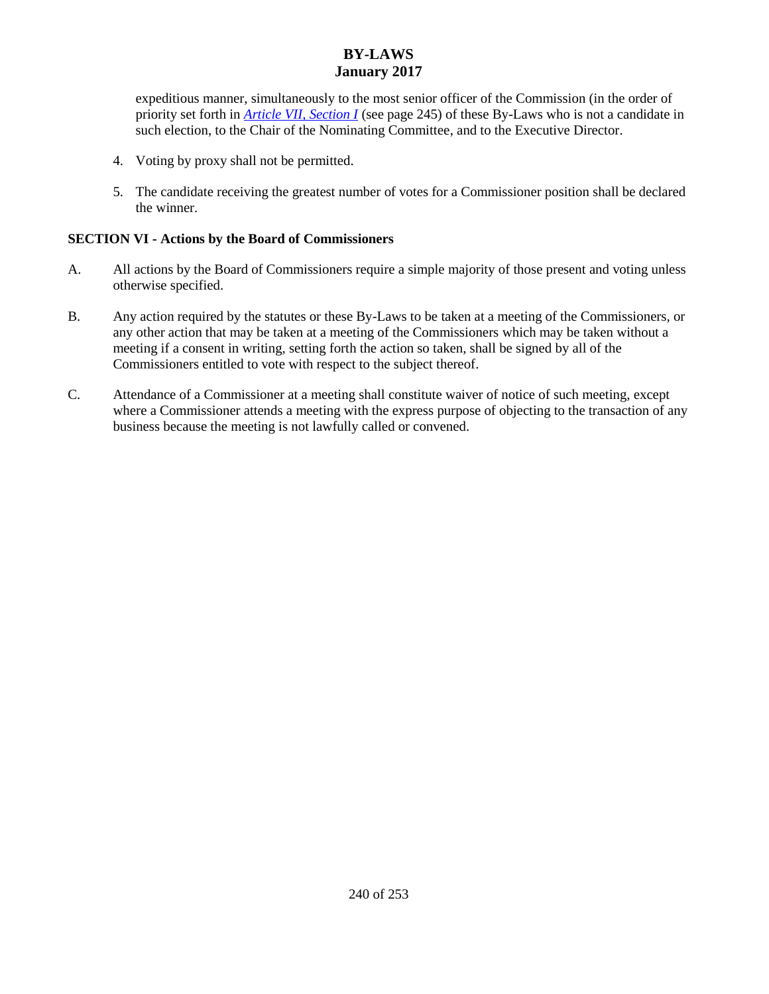expeditious manner, simultaneously to the most senior officer of the Commission (in the order of priority set forth in *[Article VII, Section I](#page-11-0)* (see page 245) of these By-Laws who is not a candidate in such election, to the Chair of the Nominating Committee, and to the Executive Director.

- 4. Voting by proxy shall not be permitted.
- 5. The candidate receiving the greatest number of votes for a Commissioner position shall be declared the winner.

### **SECTION VI - Actions by the Board of Commissioners**

- A. All actions by the Board of Commissioners require a simple majority of those present and voting unless otherwise specified.
- B. Any action required by the statutes or these By-Laws to be taken at a meeting of the Commissioners, or any other action that may be taken at a meeting of the Commissioners which may be taken without a meeting if a consent in writing, setting forth the action so taken, shall be signed by all of the Commissioners entitled to vote with respect to the subject thereof.
- C. Attendance of a Commissioner at a meeting shall constitute waiver of notice of such meeting, except where a Commissioner attends a meeting with the express purpose of objecting to the transaction of any business because the meeting is not lawfully called or convened.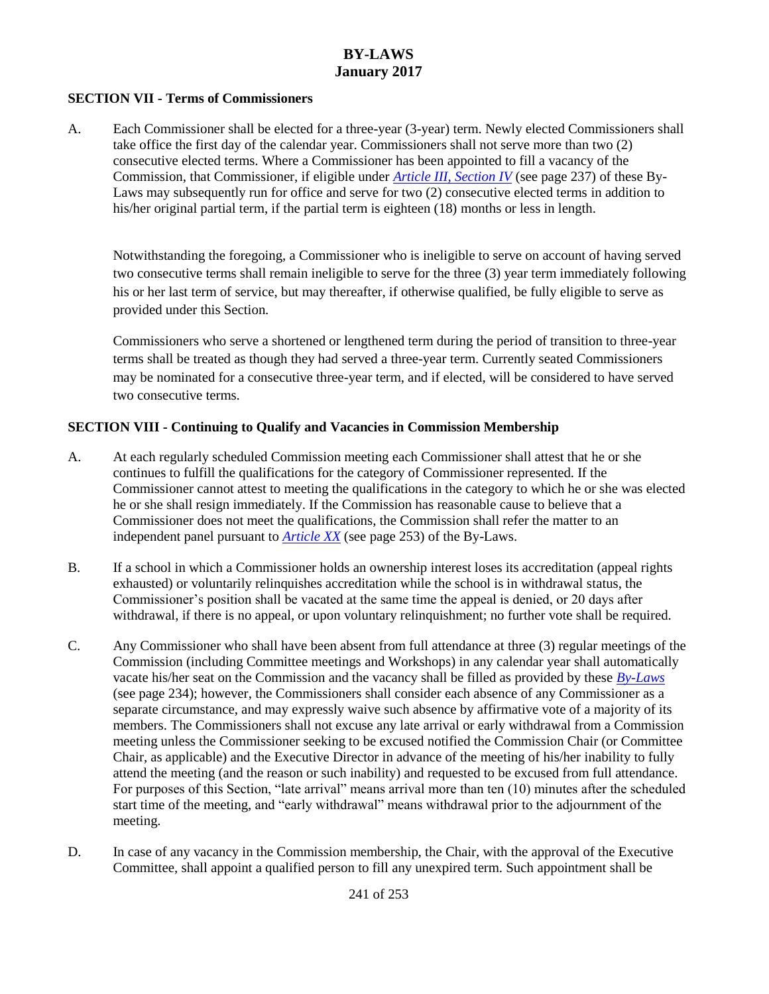#### **SECTION VII - Terms of Commissioners**

A. Each Commissioner shall be elected for a three-year (3-year) term. Newly elected Commissioners shall take office the first day of the calendar year. Commissioners shall not serve more than two (2) consecutive elected terms. Where a Commissioner has been appointed to fill a vacancy of the Commission, that Commissioner, if eligible under *[Article III, Section IV](#page-3-0)* (see page 237) of these By-Laws may subsequently run for office and serve for two (2) consecutive elected terms in addition to his/her original partial term, if the partial term is eighteen (18) months or less in length.

Notwithstanding the foregoing, a Commissioner who is ineligible to serve on account of having served two consecutive terms shall remain ineligible to serve for the three (3) year term immediately following his or her last term of service, but may thereafter, if otherwise qualified, be fully eligible to serve as provided under this Section.

Commissioners who serve a shortened or lengthened term during the period of transition to three-year terms shall be treated as though they had served a three-year term. Currently seated Commissioners may be nominated for a consecutive three-year term, and if elected, will be considered to have served two consecutive terms.

#### **SECTION VIII - Continuing to Qualify and Vacancies in Commission Membership**

- A. At each regularly scheduled Commission meeting each Commissioner shall attest that he or she continues to fulfill the qualifications for the category of Commissioner represented. If the Commissioner cannot attest to meeting the qualifications in the category to which he or she was elected he or she shall resign immediately. If the Commission has reasonable cause to believe that a Commissioner does not meet the qualifications, the Commission shall refer the matter to an independent panel pursuant to *[Article XX](#page-19-0)* (see page 253) of the By-Laws.
- B. If a school in which a Commissioner holds an ownership interest loses its accreditation (appeal rights exhausted) or voluntarily relinquishes accreditation while the school is in withdrawal status, the Commissioner's position shall be vacated at the same time the appeal is denied, or 20 days after withdrawal, if there is no appeal, or upon voluntary relinquishment; no further vote shall be required.
- C. Any Commissioner who shall have been absent from full attendance at three (3) regular meetings of the Commission (including Committee meetings and Workshops) in any calendar year shall automatically vacate his/her seat on the Commission and the vacancy shall be filled as provided by these *[By-Laws](#page-0-0)* (see page 234); however, the Commissioners shall consider each absence of any Commissioner as a separate circumstance, and may expressly waive such absence by affirmative vote of a majority of its members. The Commissioners shall not excuse any late arrival or early withdrawal from a Commission meeting unless the Commissioner seeking to be excused notified the Commission Chair (or Committee Chair, as applicable) and the Executive Director in advance of the meeting of his/her inability to fully attend the meeting (and the reason or such inability) and requested to be excused from full attendance. For purposes of this Section, "late arrival" means arrival more than ten (10) minutes after the scheduled start time of the meeting, and "early withdrawal" means withdrawal prior to the adjournment of the meeting.
- D. In case of any vacancy in the Commission membership, the Chair, with the approval of the Executive Committee, shall appoint a qualified person to fill any unexpired term. Such appointment shall be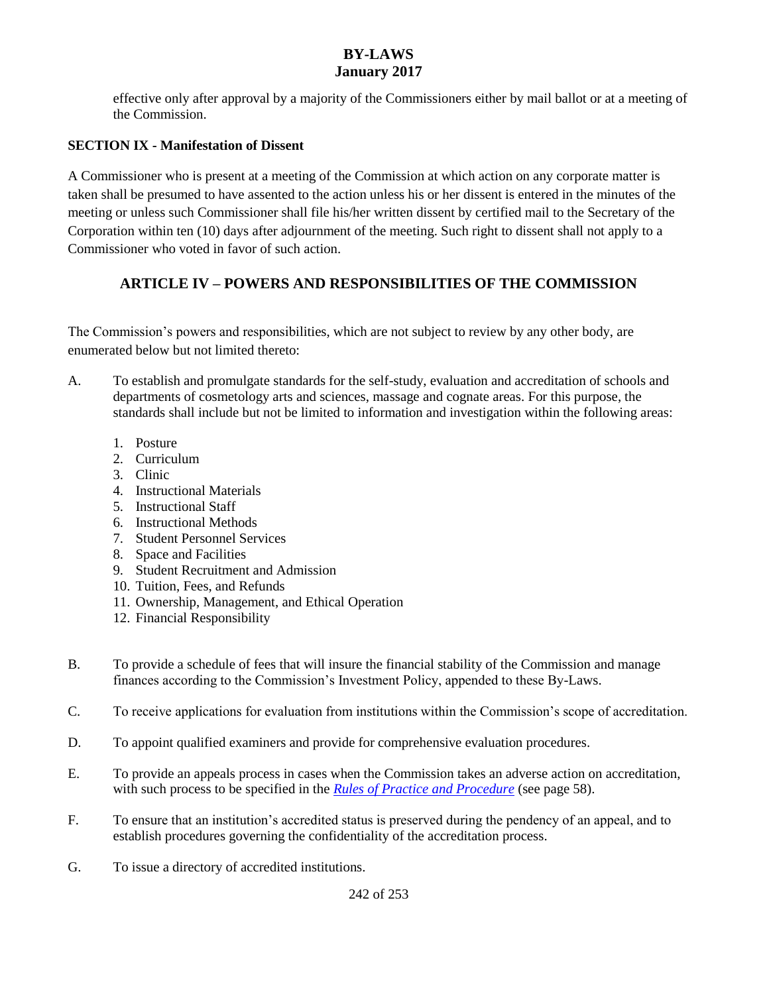effective only after approval by a majority of the Commissioners either by mail ballot or at a meeting of the Commission.

### **SECTION IX - Manifestation of Dissent**

A Commissioner who is present at a meeting of the Commission at which action on any corporate matter is taken shall be presumed to have assented to the action unless his or her dissent is entered in the minutes of the meeting or unless such Commissioner shall file his/her written dissent by certified mail to the Secretary of the Corporation within ten (10) days after adjournment of the meeting. Such right to dissent shall not apply to a Commissioner who voted in favor of such action.

# **ARTICLE IV – POWERS AND RESPONSIBILITIES OF THE COMMISSION**

The Commission's powers and responsibilities, which are not subject to review by any other body, are enumerated below but not limited thereto:

- A. To establish and promulgate standards for the self-study, evaluation and accreditation of schools and departments of cosmetology arts and sciences, massage and cognate areas. For this purpose, the standards shall include but not be limited to information and investigation within the following areas:
	- 1. Posture
	- 2. Curriculum
	- 3. Clinic
	- 4. Instructional Materials
	- 5. Instructional Staff
	- 6. Instructional Methods
	- 7. Student Personnel Services
	- 8. Space and Facilities
	- 9. Student Recruitment and Admission
	- 10. Tuition, Fees, and Refunds
	- 11. Ownership, Management, and Ethical Operation
	- 12. Financial Responsibility
- B. To provide a schedule of fees that will insure the financial stability of the Commission and manage finances according to the Commission's Investment Policy, appended to these By-Laws.
- C. To receive applications for evaluation from institutions within the Commission's scope of accreditation.
- D. To appoint qualified examiners and provide for comprehensive evaluation procedures.
- E. To provide an appeals process in cases when the Commission takes an adverse action on accreditation, with such process to be specified in the *Rules of Practice and Procedure* (see page 58).
- F. To ensure that an institution's accredited status is preserved during the pendency of an appeal, and to establish procedures governing the confidentiality of the accreditation process.
- G. To issue a directory of accredited institutions.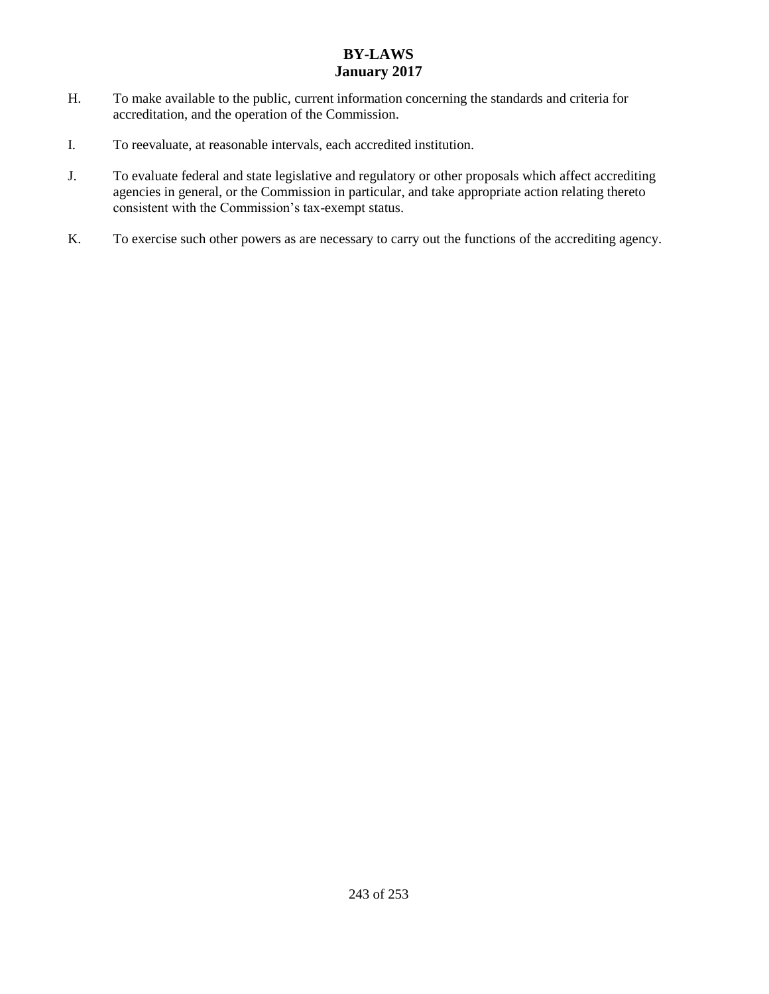- H. To make available to the public, current information concerning the standards and criteria for accreditation, and the operation of the Commission.
- I. To reevaluate, at reasonable intervals, each accredited institution.
- J. To evaluate federal and state legislative and regulatory or other proposals which affect accrediting agencies in general, or the Commission in particular, and take appropriate action relating thereto consistent with the Commission's tax-exempt status.
- K. To exercise such other powers as are necessary to carry out the functions of the accrediting agency.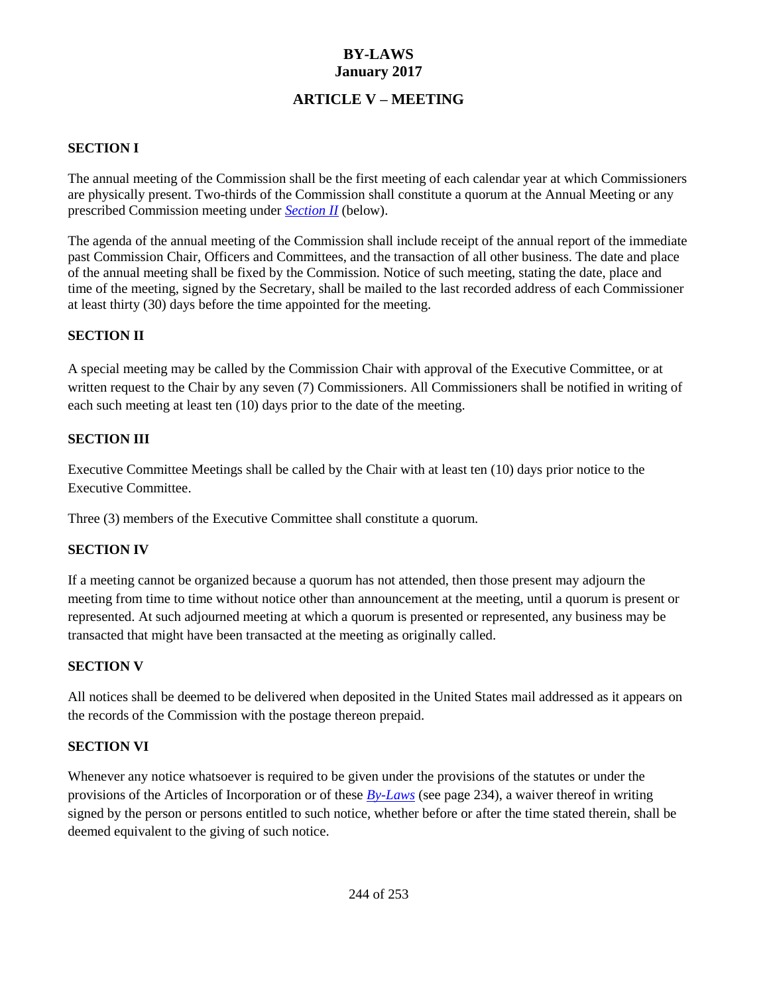## **ARTICLE V – MEETING**

### <span id="page-10-1"></span>**SECTION I**

The annual meeting of the Commission shall be the first meeting of each calendar year at which Commissioners are physically present. Two-thirds of the Commission shall constitute a quorum at the Annual Meeting or any prescribed Commission meeting under *[Section II](#page-10-0)* (below).

The agenda of the annual meeting of the Commission shall include receipt of the annual report of the immediate past Commission Chair, Officers and Committees, and the transaction of all other business. The date and place of the annual meeting shall be fixed by the Commission. Notice of such meeting, stating the date, place and time of the meeting, signed by the Secretary, shall be mailed to the last recorded address of each Commissioner at least thirty (30) days before the time appointed for the meeting.

#### <span id="page-10-0"></span>**SECTION II**

A special meeting may be called by the Commission Chair with approval of the Executive Committee, or at written request to the Chair by any seven (7) Commissioners. All Commissioners shall be notified in writing of each such meeting at least ten (10) days prior to the date of the meeting.

### **SECTION III**

Executive Committee Meetings shall be called by the Chair with at least ten (10) days prior notice to the Executive Committee.

Three (3) members of the Executive Committee shall constitute a quorum.

### **SECTION IV**

If a meeting cannot be organized because a quorum has not attended, then those present may adjourn the meeting from time to time without notice other than announcement at the meeting, until a quorum is present or represented. At such adjourned meeting at which a quorum is presented or represented, any business may be transacted that might have been transacted at the meeting as originally called.

#### **SECTION V**

All notices shall be deemed to be delivered when deposited in the United States mail addressed as it appears on the records of the Commission with the postage thereon prepaid.

#### **SECTION VI**

Whenever any notice whatsoever is required to be given under the provisions of the statutes or under the provisions of the Articles of Incorporation or of these *[By-Laws](#page-0-0)* (see page 234), a waiver thereof in writing signed by the person or persons entitled to such notice, whether before or after the time stated therein, shall be deemed equivalent to the giving of such notice.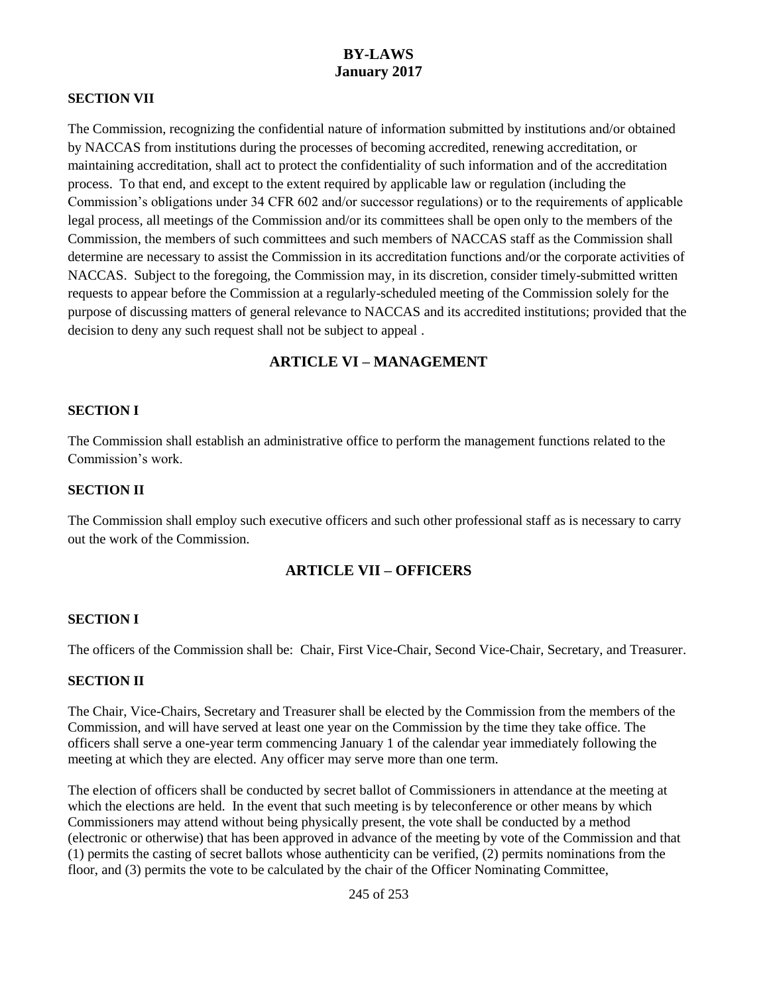#### **SECTION VII**

The Commission, recognizing the confidential nature of information submitted by institutions and/or obtained by NACCAS from institutions during the processes of becoming accredited, renewing accreditation, or maintaining accreditation, shall act to protect the confidentiality of such information and of the accreditation process. To that end, and except to the extent required by applicable law or regulation (including the Commission's obligations under 34 CFR 602 and/or successor regulations) or to the requirements of applicable legal process, all meetings of the Commission and/or its committees shall be open only to the members of the Commission, the members of such committees and such members of NACCAS staff as the Commission shall determine are necessary to assist the Commission in its accreditation functions and/or the corporate activities of NACCAS. Subject to the foregoing, the Commission may, in its discretion, consider timely-submitted written requests to appear before the Commission at a regularly-scheduled meeting of the Commission solely for the purpose of discussing matters of general relevance to NACCAS and its accredited institutions; provided that the decision to deny any such request shall not be subject to appeal .

### **ARTICLE VI – MANAGEMENT**

#### **SECTION I**

The Commission shall establish an administrative office to perform the management functions related to the Commission's work.

#### **SECTION II**

The Commission shall employ such executive officers and such other professional staff as is necessary to carry out the work of the Commission.

#### **ARTICLE VII – OFFICERS**

#### <span id="page-11-0"></span>**SECTION I**

The officers of the Commission shall be: Chair, First Vice-Chair, Second Vice-Chair, Secretary, and Treasurer.

#### **SECTION II**

The Chair, Vice-Chairs, Secretary and Treasurer shall be elected by the Commission from the members of the Commission, and will have served at least one year on the Commission by the time they take office. The officers shall serve a one-year term commencing January 1 of the calendar year immediately following the meeting at which they are elected. Any officer may serve more than one term.

The election of officers shall be conducted by secret ballot of Commissioners in attendance at the meeting at which the elections are held. In the event that such meeting is by teleconference or other means by which Commissioners may attend without being physically present, the vote shall be conducted by a method (electronic or otherwise) that has been approved in advance of the meeting by vote of the Commission and that (1) permits the casting of secret ballots whose authenticity can be verified, (2) permits nominations from the floor, and (3) permits the vote to be calculated by the chair of the Officer Nominating Committee,

245 of 253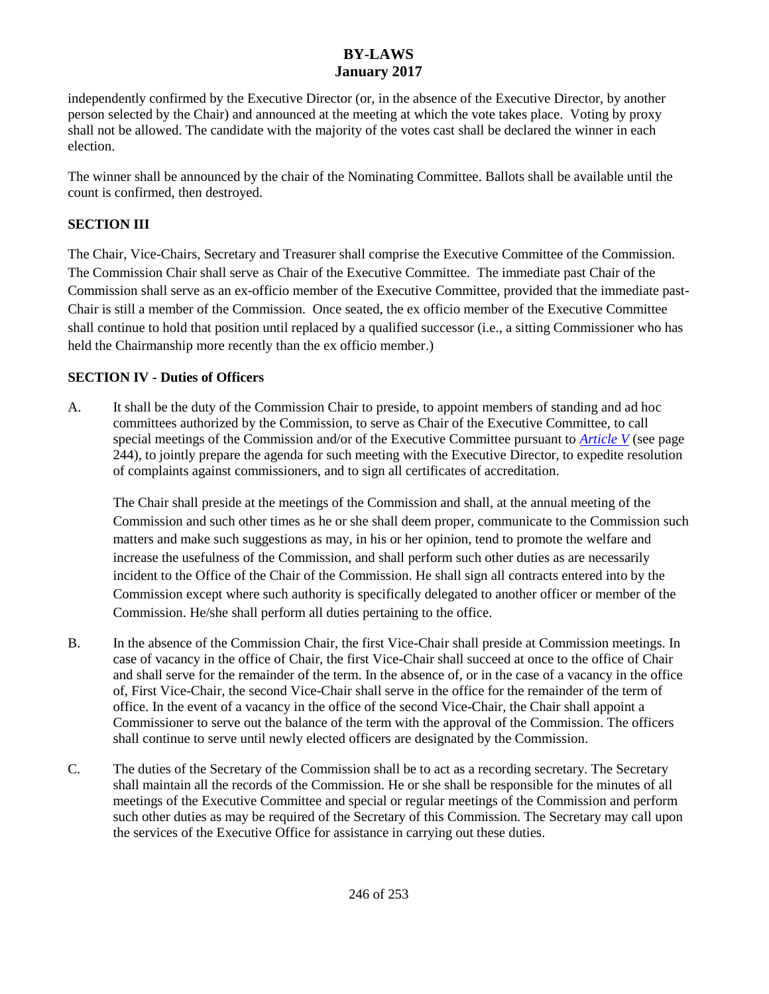independently confirmed by the Executive Director (or, in the absence of the Executive Director, by another person selected by the Chair) and announced at the meeting at which the vote takes place. Voting by proxy shall not be allowed. The candidate with the majority of the votes cast shall be declared the winner in each election.

The winner shall be announced by the chair of the Nominating Committee. Ballots shall be available until the count is confirmed, then destroyed.

## **SECTION III**

The Chair, Vice-Chairs, Secretary and Treasurer shall comprise the Executive Committee of the Commission. The Commission Chair shall serve as Chair of the Executive Committee. The immediate past Chair of the Commission shall serve as an ex-officio member of the Executive Committee, provided that the immediate past-Chair is still a member of the Commission. Once seated, the ex officio member of the Executive Committee shall continue to hold that position until replaced by a qualified successor (i.e., a sitting Commissioner who has held the Chairmanship more recently than the ex officio member.)

## **SECTION IV - Duties of Officers**

A. It shall be the duty of the Commission Chair to preside, to appoint members of standing and ad hoc committees authorized by the Commission, to serve as Chair of the Executive Committee, to call special meetings of the Commission and/or of the Executive Committee pursuant to *[Article V](#page-10-1)* (see page 244), to jointly prepare the agenda for such meeting with the Executive Director, to expedite resolution of complaints against commissioners, and to sign all certificates of accreditation.

The Chair shall preside at the meetings of the Commission and shall, at the annual meeting of the Commission and such other times as he or she shall deem proper, communicate to the Commission such matters and make such suggestions as may, in his or her opinion, tend to promote the welfare and increase the usefulness of the Commission, and shall perform such other duties as are necessarily incident to the Office of the Chair of the Commission. He shall sign all contracts entered into by the Commission except where such authority is specifically delegated to another officer or member of the Commission. He/she shall perform all duties pertaining to the office.

- B. In the absence of the Commission Chair, the first Vice-Chair shall preside at Commission meetings. In case of vacancy in the office of Chair, the first Vice-Chair shall succeed at once to the office of Chair and shall serve for the remainder of the term. In the absence of, or in the case of a vacancy in the office of, First Vice-Chair, the second Vice-Chair shall serve in the office for the remainder of the term of office. In the event of a vacancy in the office of the second Vice-Chair, the Chair shall appoint a Commissioner to serve out the balance of the term with the approval of the Commission. The officers shall continue to serve until newly elected officers are designated by the Commission.
- C. The duties of the Secretary of the Commission shall be to act as a recording secretary. The Secretary shall maintain all the records of the Commission. He or she shall be responsible for the minutes of all meetings of the Executive Committee and special or regular meetings of the Commission and perform such other duties as may be required of the Secretary of this Commission. The Secretary may call upon the services of the Executive Office for assistance in carrying out these duties.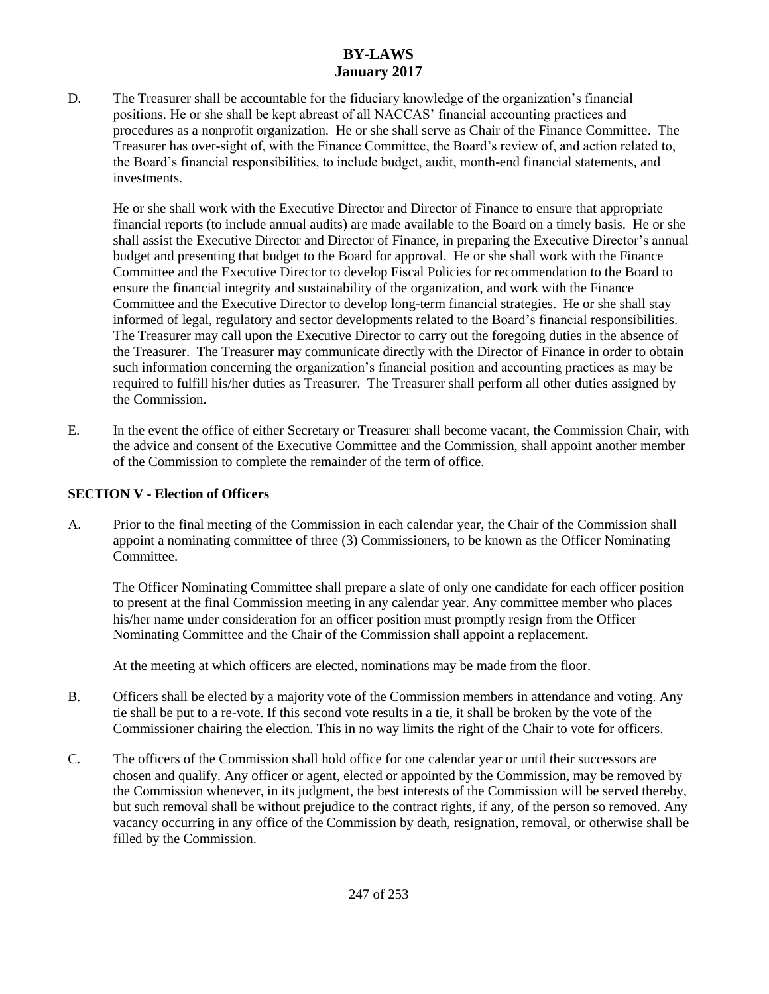D. The Treasurer shall be accountable for the fiduciary knowledge of the organization's financial positions. He or she shall be kept abreast of all NACCAS' financial accounting practices and procedures as a nonprofit organization. He or she shall serve as Chair of the Finance Committee. The Treasurer has over-sight of, with the Finance Committee, the Board's review of, and action related to, the Board's financial responsibilities, to include budget, audit, month-end financial statements, and investments.

He or she shall work with the Executive Director and Director of Finance to ensure that appropriate financial reports (to include annual audits) are made available to the Board on a timely basis. He or she shall assist the Executive Director and Director of Finance, in preparing the Executive Director's annual budget and presenting that budget to the Board for approval. He or she shall work with the Finance Committee and the Executive Director to develop Fiscal Policies for recommendation to the Board to ensure the financial integrity and sustainability of the organization, and work with the Finance Committee and the Executive Director to develop long-term financial strategies. He or she shall stay informed of legal, regulatory and sector developments related to the Board's financial responsibilities. The Treasurer may call upon the Executive Director to carry out the foregoing duties in the absence of the Treasurer. The Treasurer may communicate directly with the Director of Finance in order to obtain such information concerning the organization's financial position and accounting practices as may be required to fulfill his/her duties as Treasurer. The Treasurer shall perform all other duties assigned by the Commission.

E. In the event the office of either Secretary or Treasurer shall become vacant, the Commission Chair, with the advice and consent of the Executive Committee and the Commission, shall appoint another member of the Commission to complete the remainder of the term of office.

### **SECTION V - Election of Officers**

A. Prior to the final meeting of the Commission in each calendar year, the Chair of the Commission shall appoint a nominating committee of three (3) Commissioners, to be known as the Officer Nominating Committee.

The Officer Nominating Committee shall prepare a slate of only one candidate for each officer position to present at the final Commission meeting in any calendar year. Any committee member who places his/her name under consideration for an officer position must promptly resign from the Officer Nominating Committee and the Chair of the Commission shall appoint a replacement.

At the meeting at which officers are elected, nominations may be made from the floor.

- B. Officers shall be elected by a majority vote of the Commission members in attendance and voting. Any tie shall be put to a re-vote. If this second vote results in a tie, it shall be broken by the vote of the Commissioner chairing the election. This in no way limits the right of the Chair to vote for officers.
- C. The officers of the Commission shall hold office for one calendar year or until their successors are chosen and qualify. Any officer or agent, elected or appointed by the Commission, may be removed by the Commission whenever, in its judgment, the best interests of the Commission will be served thereby, but such removal shall be without prejudice to the contract rights, if any, of the person so removed. Any vacancy occurring in any office of the Commission by death, resignation, removal, or otherwise shall be filled by the Commission.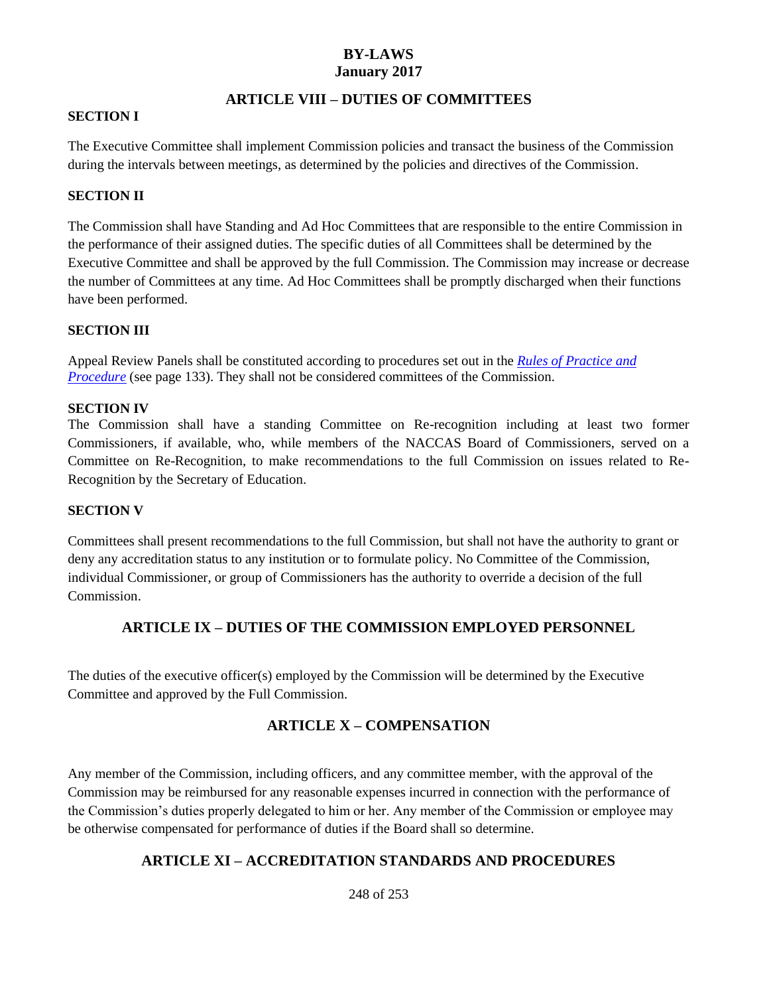### **ARTICLE VIII – DUTIES OF COMMITTEES**

#### **SECTION I**

The Executive Committee shall implement Commission policies and transact the business of the Commission during the intervals between meetings, as determined by the policies and directives of the Commission.

#### **SECTION II**

The Commission shall have Standing and Ad Hoc Committees that are responsible to the entire Commission in the performance of their assigned duties. The specific duties of all Committees shall be determined by the Executive Committee and shall be approved by the full Commission. The Commission may increase or decrease the number of Committees at any time. Ad Hoc Committees shall be promptly discharged when their functions have been performed.

#### **SECTION III**

Appeal Review Panels shall be constituted according to procedures set out in the *Rules of Practice and Procedure* (see page 133). They shall not be considered committees of the Commission.

#### **SECTION IV**

The Commission shall have a standing Committee on Re-recognition including at least two former Commissioners, if available, who, while members of the NACCAS Board of Commissioners, served on a Committee on Re-Recognition, to make recommendations to the full Commission on issues related to Re-Recognition by the Secretary of Education.

#### **SECTION V**

Committees shall present recommendations to the full Commission, but shall not have the authority to grant or deny any accreditation status to any institution or to formulate policy. No Committee of the Commission, individual Commissioner, or group of Commissioners has the authority to override a decision of the full Commission.

### **ARTICLE IX – DUTIES OF THE COMMISSION EMPLOYED PERSONNEL**

The duties of the executive officer(s) employed by the Commission will be determined by the Executive Committee and approved by the Full Commission.

### **ARTICLE X – COMPENSATION**

Any member of the Commission, including officers, and any committee member, with the approval of the Commission may be reimbursed for any reasonable expenses incurred in connection with the performance of the Commission's duties properly delegated to him or her. Any member of the Commission or employee may be otherwise compensated for performance of duties if the Board shall so determine.

### **ARTICLE XI – ACCREDITATION STANDARDS AND PROCEDURES**

248 of 253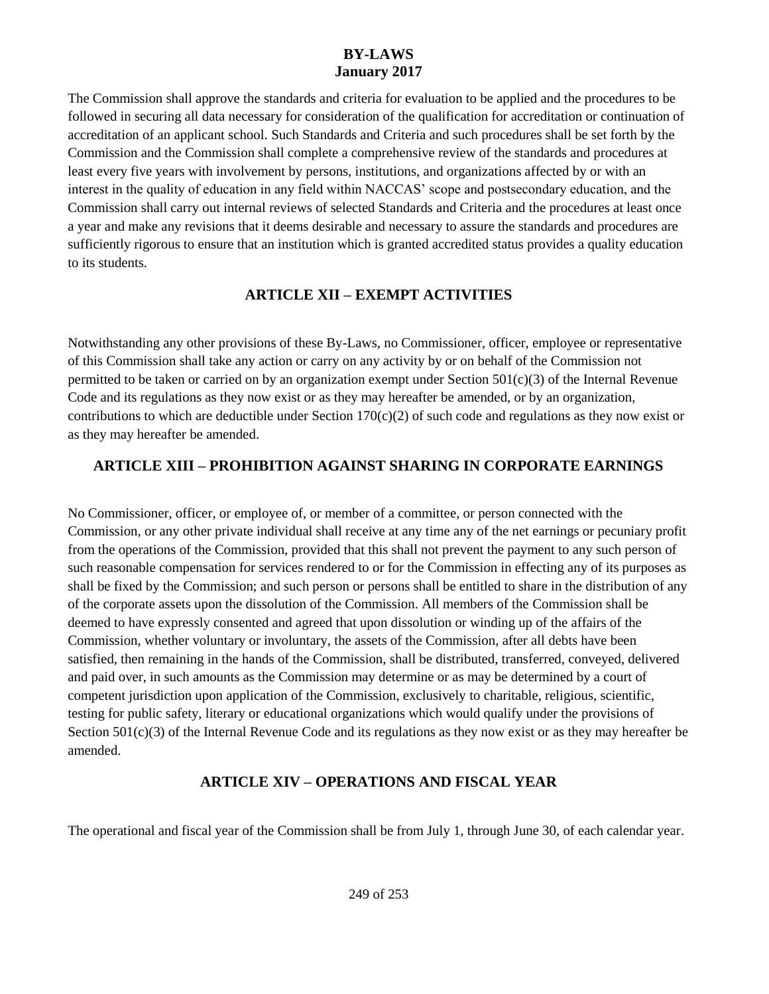The Commission shall approve the standards and criteria for evaluation to be applied and the procedures to be followed in securing all data necessary for consideration of the qualification for accreditation or continuation of accreditation of an applicant school. Such Standards and Criteria and such procedures shall be set forth by the Commission and the Commission shall complete a comprehensive review of the standards and procedures at least every five years with involvement by persons, institutions, and organizations affected by or with an interest in the quality of education in any field within NACCAS' scope and postsecondary education, and the Commission shall carry out internal reviews of selected Standards and Criteria and the procedures at least once a year and make any revisions that it deems desirable and necessary to assure the standards and procedures are sufficiently rigorous to ensure that an institution which is granted accredited status provides a quality education to its students.

## **ARTICLE XII – EXEMPT ACTIVITIES**

Notwithstanding any other provisions of these By-Laws, no Commissioner, officer, employee or representative of this Commission shall take any action or carry on any activity by or on behalf of the Commission not permitted to be taken or carried on by an organization exempt under Section  $501(c)(3)$  of the Internal Revenue Code and its regulations as they now exist or as they may hereafter be amended, or by an organization, contributions to which are deductible under Section  $170(c)(2)$  of such code and regulations as they now exist or as they may hereafter be amended.

# **ARTICLE XIII – PROHIBITION AGAINST SHARING IN CORPORATE EARNINGS**

No Commissioner, officer, or employee of, or member of a committee, or person connected with the Commission, or any other private individual shall receive at any time any of the net earnings or pecuniary profit from the operations of the Commission, provided that this shall not prevent the payment to any such person of such reasonable compensation for services rendered to or for the Commission in effecting any of its purposes as shall be fixed by the Commission; and such person or persons shall be entitled to share in the distribution of any of the corporate assets upon the dissolution of the Commission. All members of the Commission shall be deemed to have expressly consented and agreed that upon dissolution or winding up of the affairs of the Commission, whether voluntary or involuntary, the assets of the Commission, after all debts have been satisfied, then remaining in the hands of the Commission, shall be distributed, transferred, conveyed, delivered and paid over, in such amounts as the Commission may determine or as may be determined by a court of competent jurisdiction upon application of the Commission, exclusively to charitable, religious, scientific, testing for public safety, literary or educational organizations which would qualify under the provisions of Section  $501(c)(3)$  of the Internal Revenue Code and its regulations as they now exist or as they may hereafter be amended.

# **ARTICLE XIV – OPERATIONS AND FISCAL YEAR**

The operational and fiscal year of the Commission shall be from July 1, through June 30, of each calendar year.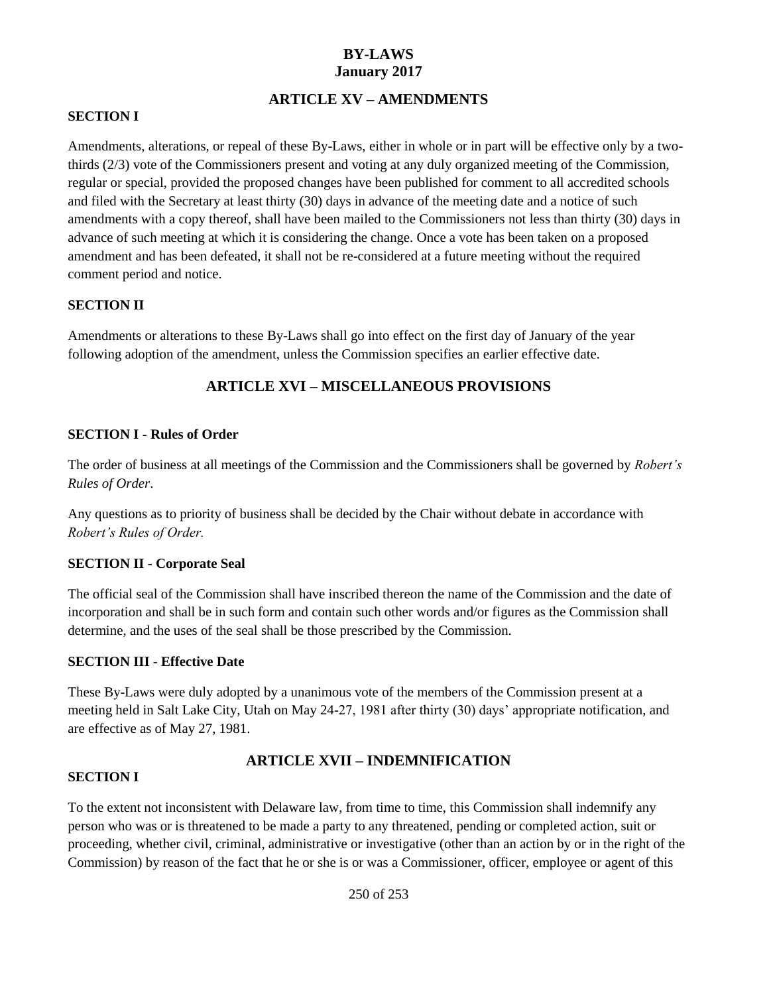### **ARTICLE XV – AMENDMENTS**

#### <span id="page-16-0"></span>**SECTION I**

Amendments, alterations, or repeal of these By-Laws, either in whole or in part will be effective only by a twothirds (2/3) vote of the Commissioners present and voting at any duly organized meeting of the Commission, regular or special, provided the proposed changes have been published for comment to all accredited schools and filed with the Secretary at least thirty (30) days in advance of the meeting date and a notice of such amendments with a copy thereof, shall have been mailed to the Commissioners not less than thirty (30) days in advance of such meeting at which it is considering the change. Once a vote has been taken on a proposed amendment and has been defeated, it shall not be re-considered at a future meeting without the required comment period and notice.

#### **SECTION II**

Amendments or alterations to these By-Laws shall go into effect on the first day of January of the year following adoption of the amendment, unless the Commission specifies an earlier effective date.

### **ARTICLE XVI – MISCELLANEOUS PROVISIONS**

#### **SECTION I - Rules of Order**

The order of business at all meetings of the Commission and the Commissioners shall be governed by *Robert's Rules of Order*.

Any questions as to priority of business shall be decided by the Chair without debate in accordance with *Robert's Rules of Order.*

#### **SECTION II - Corporate Seal**

The official seal of the Commission shall have inscribed thereon the name of the Commission and the date of incorporation and shall be in such form and contain such other words and/or figures as the Commission shall determine, and the uses of the seal shall be those prescribed by the Commission.

#### **SECTION III - Effective Date**

These By-Laws were duly adopted by a unanimous vote of the members of the Commission present at a meeting held in Salt Lake City, Utah on May 24-27, 1981 after thirty (30) days' appropriate notification, and are effective as of May 27, 1981.

### **ARTICLE XVII – INDEMNIFICATION**

#### <span id="page-16-1"></span>**SECTION I**

To the extent not inconsistent with Delaware law, from time to time, this Commission shall indemnify any person who was or is threatened to be made a party to any threatened, pending or completed action, suit or proceeding, whether civil, criminal, administrative or investigative (other than an action by or in the right of the Commission) by reason of the fact that he or she is or was a Commissioner, officer, employee or agent of this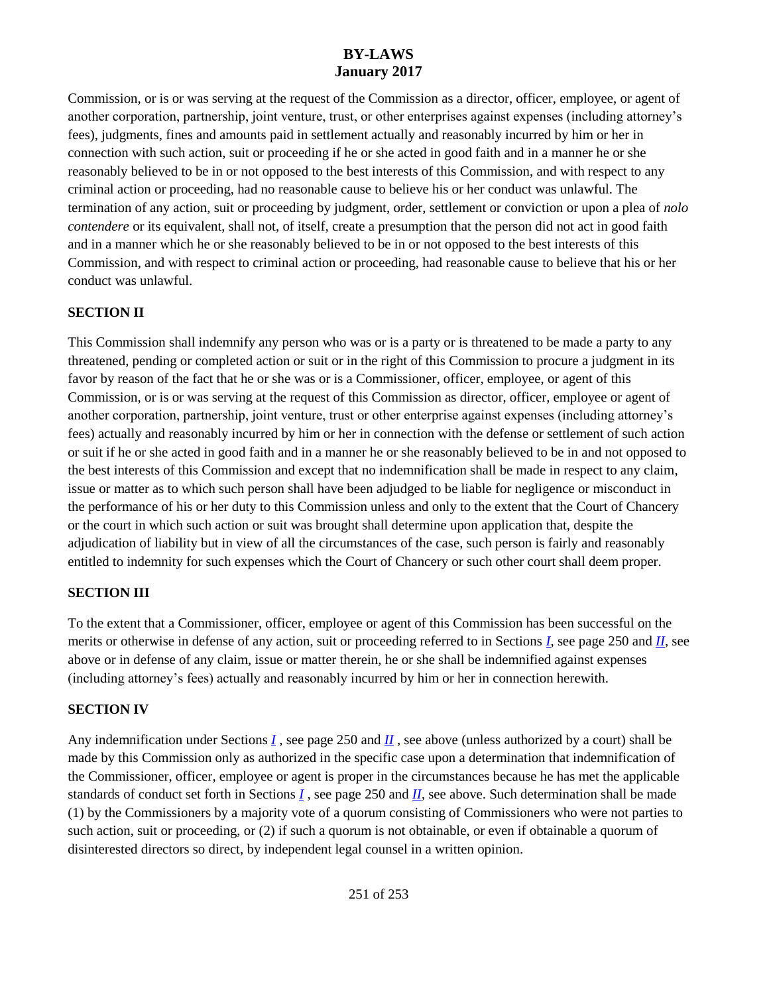Commission, or is or was serving at the request of the Commission as a director, officer, employee, or agent of another corporation, partnership, joint venture, trust, or other enterprises against expenses (including attorney's fees), judgments, fines and amounts paid in settlement actually and reasonably incurred by him or her in connection with such action, suit or proceeding if he or she acted in good faith and in a manner he or she reasonably believed to be in or not opposed to the best interests of this Commission, and with respect to any criminal action or proceeding, had no reasonable cause to believe his or her conduct was unlawful. The termination of any action, suit or proceeding by judgment, order, settlement or conviction or upon a plea of *nolo contendere* or its equivalent, shall not, of itself, create a presumption that the person did not act in good faith and in a manner which he or she reasonably believed to be in or not opposed to the best interests of this Commission, and with respect to criminal action or proceeding, had reasonable cause to believe that his or her conduct was unlawful.

### <span id="page-17-0"></span>**SECTION II**

This Commission shall indemnify any person who was or is a party or is threatened to be made a party to any threatened, pending or completed action or suit or in the right of this Commission to procure a judgment in its favor by reason of the fact that he or she was or is a Commissioner, officer, employee, or agent of this Commission, or is or was serving at the request of this Commission as director, officer, employee or agent of another corporation, partnership, joint venture, trust or other enterprise against expenses (including attorney's fees) actually and reasonably incurred by him or her in connection with the defense or settlement of such action or suit if he or she acted in good faith and in a manner he or she reasonably believed to be in and not opposed to the best interests of this Commission and except that no indemnification shall be made in respect to any claim, issue or matter as to which such person shall have been adjudged to be liable for negligence or misconduct in the performance of his or her duty to this Commission unless and only to the extent that the Court of Chancery or the court in which such action or suit was brought shall determine upon application that, despite the adjudication of liability but in view of all the circumstances of the case, such person is fairly and reasonably entitled to indemnity for such expenses which the Court of Chancery or such other court shall deem proper.

### **SECTION III**

To the extent that a Commissioner, officer, employee or agent of this Commission has been successful on the merits or otherwise in defense of any action, suit or proceeding referred to in Sections *[I](#page-16-1)*, see page 250 and *[II](#page-17-0)*, see above or in defense of any claim, issue or matter therein, he or she shall be indemnified against expenses (including attorney's fees) actually and reasonably incurred by him or her in connection herewith.

#### **SECTION IV**

Any indemnification under Sections *[I](#page-16-1)*, see page 250 and *[II](#page-17-0)*, see above (unless authorized by a court) shall be made by this Commission only as authorized in the specific case upon a determination that indemnification of the Commissioner, officer, employee or agent is proper in the circumstances because he has met the applicable standards of conduct set forth in Sections *[I](#page-16-1)* , see page 250 and *[II](#page-17-0)*, see above. Such determination shall be made (1) by the Commissioners by a majority vote of a quorum consisting of Commissioners who were not parties to such action, suit or proceeding, or (2) if such a quorum is not obtainable, or even if obtainable a quorum of disinterested directors so direct, by independent legal counsel in a written opinion.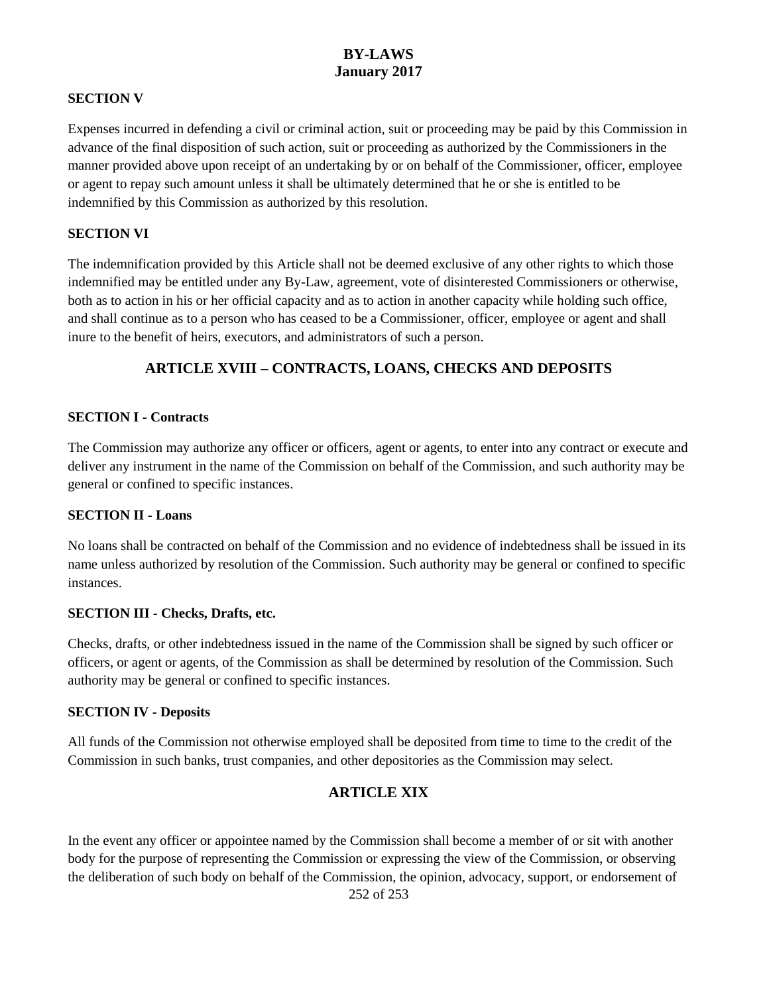#### **SECTION V**

Expenses incurred in defending a civil or criminal action, suit or proceeding may be paid by this Commission in advance of the final disposition of such action, suit or proceeding as authorized by the Commissioners in the manner provided above upon receipt of an undertaking by or on behalf of the Commissioner, officer, employee or agent to repay such amount unless it shall be ultimately determined that he or she is entitled to be indemnified by this Commission as authorized by this resolution.

#### **SECTION VI**

The indemnification provided by this Article shall not be deemed exclusive of any other rights to which those indemnified may be entitled under any By-Law, agreement, vote of disinterested Commissioners or otherwise, both as to action in his or her official capacity and as to action in another capacity while holding such office, and shall continue as to a person who has ceased to be a Commissioner, officer, employee or agent and shall inure to the benefit of heirs, executors, and administrators of such a person.

### **ARTICLE XVIII – CONTRACTS, LOANS, CHECKS AND DEPOSITS**

#### **SECTION I - Contracts**

The Commission may authorize any officer or officers, agent or agents, to enter into any contract or execute and deliver any instrument in the name of the Commission on behalf of the Commission, and such authority may be general or confined to specific instances.

#### **SECTION II - Loans**

No loans shall be contracted on behalf of the Commission and no evidence of indebtedness shall be issued in its name unless authorized by resolution of the Commission. Such authority may be general or confined to specific instances.

#### **SECTION III - Checks, Drafts, etc.**

Checks, drafts, or other indebtedness issued in the name of the Commission shall be signed by such officer or officers, or agent or agents, of the Commission as shall be determined by resolution of the Commission. Such authority may be general or confined to specific instances.

#### **SECTION IV - Deposits**

All funds of the Commission not otherwise employed shall be deposited from time to time to the credit of the Commission in such banks, trust companies, and other depositories as the Commission may select.

### **ARTICLE XIX**

252 of 253 In the event any officer or appointee named by the Commission shall become a member of or sit with another body for the purpose of representing the Commission or expressing the view of the Commission, or observing the deliberation of such body on behalf of the Commission, the opinion, advocacy, support, or endorsement of